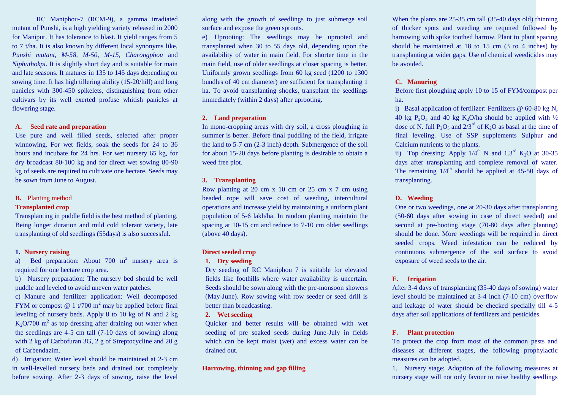RC Maniphou-7 (RCM-9), a gamma irradiated mutant of Punshi, is a high yielding variety released in 2000 for Manipur. It has tolerance to blast. It yield ranges from 5 to 7 t/ha. It is also known by different local synonyms like, *Punshi mutant, M-58, M-50, M-15, Charongphou* and *Niphuthokpi*. It is slightly short day and is suitable for main and late seasons. It matures in 135 to 145 days depending on sowing time. It has high tillering ability (15-20/hill) and long panicles with 300-450 spikelets, distinguishing from other cultivars by its well exerted profuse whitish panicles at flowering stage.

#### **A. Seed rate and preparation**

Use pure and well filled seeds, selected after proper winnowing. For wet fields, soak the seeds for 24 to 36 hours and incubate for 24 hrs. For wet nursery 65 kg, for dry broadcast 80-100 kg and for direct wet sowing 80-90 kg of seeds are required to cultivate one hectare. Seeds may be sown from June to August.

#### **B.** Planting method

#### **Transplanted crop**

Transplanting in puddle field is the best method of planting. Being longer duration and mild cold tolerant variety, late transplanting of old seedlings (55days) is also successful.

#### **1. Nursery raising**

a) Bed preparation: About 700  $m^2$  nursery area is required for one hectare crop area.

b) Nursery preparation: The nursery bed should be well puddle and leveled to avoid uneven water patches.

c) Manure and fertilizer application: Well decomposed FYM or compost  $\omega$  1 t/700 m<sup>2</sup> may be applied before final leveling of nursery beds. Apply 8 to 10 kg of N and 2 kg  $K_2$ O/700 m<sup>2</sup> as top dressing after draining out water when the seedlings are 4-5 cm tall (7-10 days of sowing) along with 2 kg of Carbofuran 3G, 2 g of Streptocycline and 20 g of Carbendazim.

d) Irrigation: Water level should be maintained at 2-3 cm in well-levelled nursery beds and drained out completely before sowing. After 2-3 days of sowing, raise the level along with the growth of seedlings to just submerge soil surface and expose the green sprouts.

e) Uprooting: The seedlings may be uprooted and transplanted when 30 to 55 days old, depending upon the availability of water in main field. For shorter time in the main field, use of older seedlings at closer spacing is better. Uniformly grown seedlings from 60 kg seed (1200 to 1300 bundles of 40 cm diameter) are sufficient for transplanting 1 ha. To avoid transplanting shocks, transplant the seedlings immediately (within 2 days) after uprooting.

#### **2. Land preparation**

In mono-cropping areas with dry soil, a cross ploughing in summer is better. Before final puddling of the field, irrigate the land to 5-7 cm (2-3 inch) depth. Submergence of the soil for about 15-20 days before planting is desirable to obtain a weed free plot.

#### **3. Transplanting**

Row planting at 20 cm x 10 cm or 25 cm x 7 cm using beaded rope will save cost of weeding, intercultural operations and increase yield by maintaining a uniform plant population of 5-6 lakh/ha. In random planting maintain the spacing at 10-15 cm and reduce to 7-10 cm older seedlings (above 40 days).

#### **Direct seeded crop**

#### **1. Dry seeding**

Dry seeding of RC Maniphou 7 is suitable for elevated fields like foothills where water availability is uncertain. Seeds should be sown along with the pre-monsoon showers (May-June). Row sowing with row seeder or seed drill is better than broadcasting.

#### **2. Wet seeding**

Quicker and better results will be obtained with wet seeding of pre soaked seeds during June-July in fields which can be kept moist (wet) and excess water can be drained out.

#### **Harrowing, thinning and gap filling**

When the plants are 25-35 cm tall (35-40 days old) thinning of thicker spots and weeding are required followed by harrowing with spike toothed harrow. Plant to plant spacing should be maintained at 18 to 15 cm (3 to 4 inches) by transplanting at wider gaps. Use of chemical weedicides may be avoided.

#### **C. Manuring**

Before first ploughing apply 10 to 15 of FYM/compost per ha.

i) Basal application of fertilizer: Fertilizers @ 60-80 kg N, 40 kg P<sub>2</sub>O<sub>5</sub> and 40 kg K<sub>2</sub>O/ha should be applied with  $\frac{1}{2}$ dose of N. full  $P_2O_5$  and  $2/3^{rd}$  of K<sub>2</sub>O as basal at the time of final leveling. Use of SSP supplements Sulphur and Calcium nutrients to the plants.

ii) Top dressing: Apply  $1/4^{\text{th}}$  N and  $1.3^{\text{rd}}$  K<sub>2</sub>O at 30-35 days after transplanting and complete removal of water. The remaining  $1/4<sup>th</sup>$  should be applied at 45-50 days of transplanting.

#### **D. Weeding**

One or two weedings, one at 20-30 days after transplanting (50-60 days after sowing in case of direct seeded) and second at pre-booting stage (70-80 days after planting) should be done. More weedings will be required in direct seeded crops. Weed infestation can be reduced by continuous submergence of the soil surface to avoid exposure of weed seeds to the air.

#### **E. Irrigation**

After 3-4 days of transplanting (35-40 days of sowing) water level should be maintained at 3-4 inch (7-10 cm) overflow and leakage of water should be checked specially till 4-5 days after soil applications of fertilizers and pesticides.

#### **F. Plant protection**

To protect the crop from most of the common pests and diseases at different stages, the following prophylactic measures can be adopted.

1. Nursery stage: Adoption of the following measures at nursery stage will not only favour to raise healthy seedlings